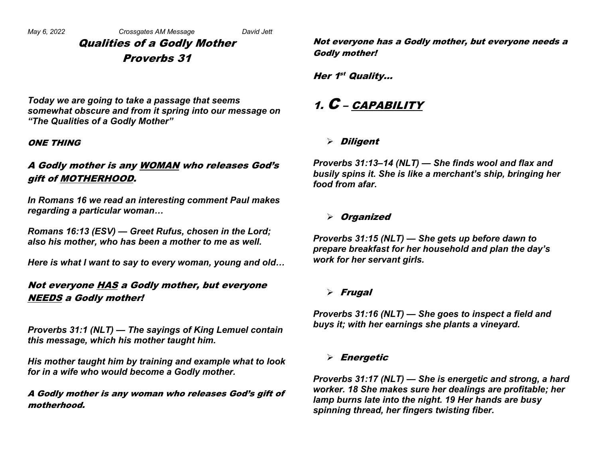Qualities of a Godly Mother Proverbs 31

*Today we are going to take a passage that seems somewhat obscure and from it spring into our message on "The Qualities of a Godly Mother"*

#### ONE THING

### A Godly mother is any WOMAN who releases God's gift of MOTHERHOOD.

*In Romans 16 we read an interesting comment Paul makes regarding a particular woman…*

*Romans 16:13 (ESV) — Greet Rufus, chosen in the Lord; also his mother, who has been a mother to me as well.*

*Here is what I want to say to every woman, young and old…*

### Not everyone HAS a Godly mother, but everyone NEEDS a Godly mother!

*Proverbs 31:1 (NLT) — The sayings of King Lemuel contain this message, which his mother taught him.*

*His mother taught him by training and example what to look for in a wife who would become a Godly mother.*

A Godly mother is any woman who releases God's gift of motherhood.

Not everyone has a Godly mother, but everyone needs a Godly mother!

Her 1<sup>st</sup> Quality...

## 1.  $C$  – CAPABILITY

### $\triangleright$  Diligent

*Proverbs 31:13–14 (NLT) — She finds wool and flax and busily spins it. She is like a merchant's ship, bringing her food from afar.* 

### $\triangleright$  Organized

*Proverbs 31:15 (NLT) — She gets up before dawn to prepare breakfast for her household and plan the day's work for her servant girls.* 

### $\triangleright$  Frugal

*Proverbs 31:16 (NLT) — She goes to inspect a field and buys it; with her earnings she plants a vineyard.* 

### $\triangleright$  Energetic

*Proverbs 31:17 (NLT) — She is energetic and strong, a hard worker. 18 She makes sure her dealings are profitable; her lamp burns late into the night. 19 Her hands are busy spinning thread, her fingers twisting fiber.*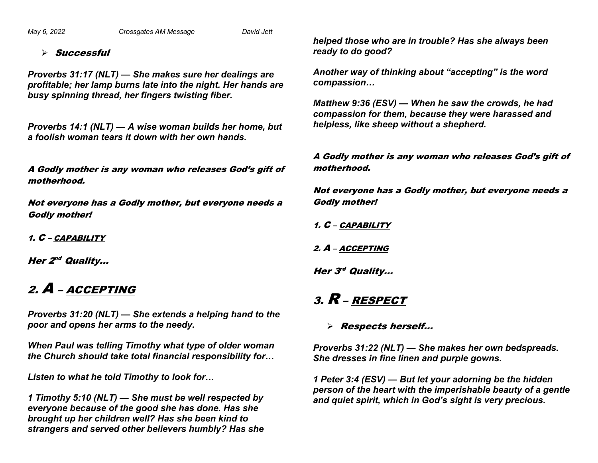*May 6, 2022 Crossgates AM Message David Jett*

#### $\triangleright$  Successful

*Proverbs 31:17 (NLT) — She makes sure her dealings are profitable; her lamp burns late into the night. Her hands are busy spinning thread, her fingers twisting fiber.*

*Proverbs 14:1 (NLT) — A wise woman builds her home, but a foolish woman tears it down with her own hands.*

A Godly mother is any woman who releases God's gift of motherhood.

Not everyone has a Godly mother, but everyone needs a Godly mother!

1. C – CAPABILITY

Her  $2^{nd}$  Quality...

# 2. A – ACCEPTING

*Proverbs 31:20 (NLT) — She extends a helping hand to the poor and opens her arms to the needy.*

*When Paul was telling Timothy what type of older woman the Church should take total financial responsibility for…*

*Listen to what he told Timothy to look for…*

*1 Timothy 5:10 (NLT) — She must be well respected by everyone because of the good she has done. Has she brought up her children well? Has she been kind to strangers and served other believers humbly? Has she*  *helped those who are in trouble? Has she always been ready to do good?*

*Another way of thinking about "accepting" is the word compassion…*

*Matthew 9:36 (ESV) — When he saw the crowds, he had compassion for them, because they were harassed and helpless, like sheep without a shepherd.*

A Godly mother is any woman who releases God's gift of motherhood.

Not everyone has a Godly mother, but everyone needs a Godly mother!

1. C – CAPABILITY

2. A – ACCEPTING

Her  $3<sup>rd</sup>$  Quality...

# 3. R – RESPECT

### Ø Respects herself…

*Proverbs 31:22 (NLT) — She makes her own bedspreads. She dresses in fine linen and purple gowns.* 

*1 Peter 3:4 (ESV) — But let your adorning be the hidden person of the heart with the imperishable beauty of a gentle and quiet spirit, which in God's sight is very precious.*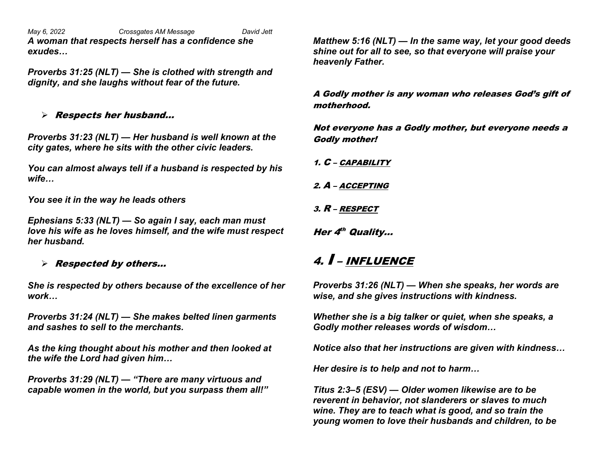*May 6, 2022 Crossgates AM Message David Jett A woman that respects herself has a confidence she exudes…*

*Proverbs 31:25 (NLT) — She is clothed with strength and dignity, and she laughs without fear of the future.*

### $\triangleright$  Respects her husband...

*Proverbs 31:23 (NLT) — Her husband is well known at the city gates, where he sits with the other civic leaders.* 

*You can almost always tell if a husband is respected by his wife…*

*You see it in the way he leads others*

*Ephesians 5:33 (NLT) — So again I say, each man must love his wife as he loves himself, and the wife must respect her husband.*

### $\triangleright$  Respected by others...

*She is respected by others because of the excellence of her work…*

*Proverbs 31:24 (NLT) — She makes belted linen garments and sashes to sell to the merchants.* 

*As the king thought about his mother and then looked at the wife the Lord had given him…*

*Proverbs 31:29 (NLT) — "There are many virtuous and capable women in the world, but you surpass them all!"* *Matthew 5:16 (NLT) — In the same way, let your good deeds shine out for all to see, so that everyone will praise your heavenly Father.*

A Godly mother is any woman who releases God's gift of motherhood.

Not everyone has a Godly mother, but everyone needs a Godly mother!

1. C – CAPABILITY

2. A – ACCEPTING

3. R – RESPECT

Her 4<sup>th</sup> Quality...

# 4. I – INFLUENCE

*Proverbs 31:26 (NLT) — When she speaks, her words are wise, and she gives instructions with kindness.*

*Whether she is a big talker or quiet, when she speaks, a Godly mother releases words of wisdom…*

*Notice also that her instructions are given with kindness…*

*Her desire is to help and not to harm…*

*Titus 2:3–5 (ESV) — Older women likewise are to be reverent in behavior, not slanderers or slaves to much wine. They are to teach what is good, and so train the young women to love their husbands and children, to be*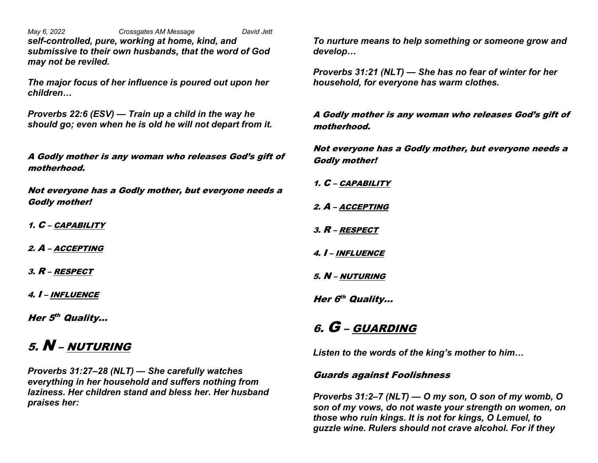*May 6, 2022 Crossgates AM Message David Jett self-controlled, pure, working at home, kind, and submissive to their own husbands, that the word of God may not be reviled.*

*The major focus of her influence is poured out upon her children…*

*Proverbs 22:6 (ESV) — Train up a child in the way he should go; even when he is old he will not depart from it.*

A Godly mother is any woman who releases God's gift of motherhood.

Not everyone has a Godly mother, but everyone needs a Godly mother!

1. C – CAPABILITY

2. A – ACCEPTING

3. R – RESPECT

4. I – INFLUENCE

Her 5<sup>th</sup> Quality...

# 5. N – NUTURING

*Proverbs 31:27–28 (NLT) — She carefully watches everything in her household and suffers nothing from laziness. Her children stand and bless her. Her husband praises her:*

*To nurture means to help something or someone grow and develop…*

*Proverbs 31:21 (NLT) — She has no fear of winter for her household, for everyone has warm clothes.*

A Godly mother is any woman who releases God's gift of motherhood.

Not everyone has a Godly mother, but everyone needs a Godly mother!

- 1. C CAPABILITY
- 2. A ACCEPTING
- 3. R RESPECT
- 4. I INFLUENCE
- 5. N NUTURING

Her 6<sup>th</sup> Quality...

### 6. G – GUARDING

*Listen to the words of the king's mother to him…*

#### Guards against Foolishness

*Proverbs 31:2–7 (NLT) — O my son, O son of my womb, O son of my vows, do not waste your strength on women, on those who ruin kings. It is not for kings, O Lemuel, to guzzle wine. Rulers should not crave alcohol. For if they*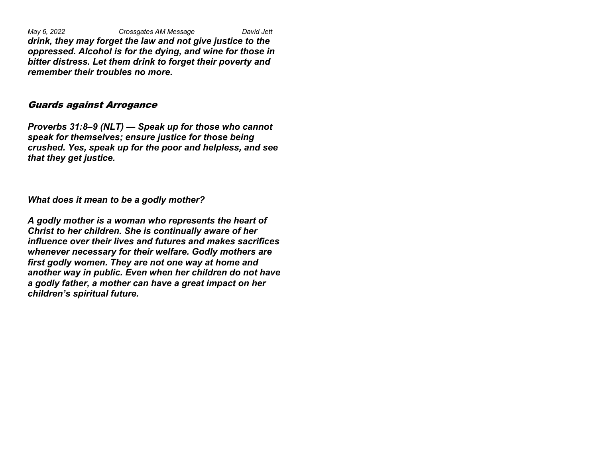*May 6, 2022 Crossgates AM Message David Jett drink, they may forget the law and not give justice to the oppressed. Alcohol is for the dying, and wine for those in bitter distress. Let them drink to forget their poverty and remember their troubles no more.* 

#### Guards against Arrogance

*Proverbs 31:8–9 (NLT) — Speak up for those who cannot speak for themselves; ensure justice for those being crushed. Yes, speak up for the poor and helpless, and see that they get justice.*

*What does it mean to be a godly mother?*

*A godly mother is a woman who represents the heart of Christ to her children. She is continually aware of her influence over their lives and futures and makes sacrifices whenever necessary for their welfare. Godly mothers are first godly women. They are not one way at home and another way in public. Even when her children do not have a godly father, a mother can have a great impact on her children's spiritual future.*